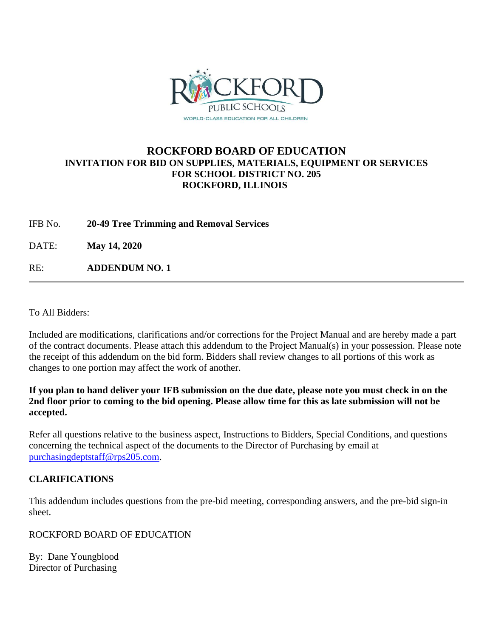

### **ROCKFORD BOARD OF EDUCATION INVITATION FOR BID ON SUPPLIES, MATERIALS, EQUIPMENT OR SERVICES FOR SCHOOL DISTRICT NO. 205 ROCKFORD, ILLINOIS**

IFB No. **20-49 Tree Trimming and Removal Services**

DATE: **May 14, 2020**

RE: **ADDENDUM NO. 1**

To All Bidders:

Included are modifications, clarifications and/or corrections for the Project Manual and are hereby made a part of the contract documents. Please attach this addendum to the Project Manual(s) in your possession. Please note the receipt of this addendum on the bid form. Bidders shall review changes to all portions of this work as changes to one portion may affect the work of another.

**If you plan to hand deliver your IFB submission on the due date, please note you must check in on the 2nd floor prior to coming to the bid opening. Please allow time for this as late submission will not be accepted.**

Refer all questions relative to the business aspect, Instructions to Bidders, Special Conditions, and questions concerning the technical aspect of the documents to the Director of Purchasing by email at [purchasingdeptstaff@rps205.com.](mailto:purchasingdeptstaff@rps205.com)

### **CLARIFICATIONS**

This addendum includes questions from the pre-bid meeting, corresponding answers, and the pre-bid sign-in sheet.

ROCKFORD BOARD OF EDUCATION

By: Dane Youngblood Director of Purchasing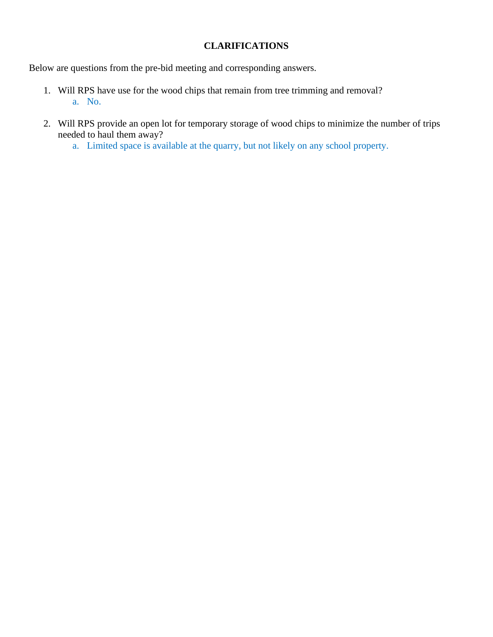#### **CLARIFICATIONS**

Below are questions from the pre-bid meeting and corresponding answers.

- 1. Will RPS have use for the wood chips that remain from tree trimming and removal? a. No.
- 2. Will RPS provide an open lot for temporary storage of wood chips to minimize the number of trips needed to haul them away?
	- a. Limited space is available at the quarry, but not likely on any school property.